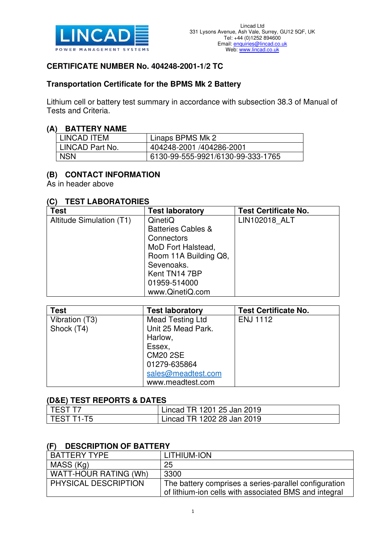

## **CERTIFICATE NUMBER No. 404248-2001-1/2 TC**

## **Transportation Certificate for the BPMS Mk 2 Battery**

Lithium cell or battery test summary in accordance with subsection 38.3 of Manual of Tests and Criteria.

#### **(A) BATTERY NAME**

| LINCAD ITEM     | Linaps BPMS Mk 2                  |
|-----------------|-----------------------------------|
| LINCAD Part No. | 404248-2001 /404286-2001          |
| <b>NSN</b>      | 6130-99-555-9921/6130-99-333-1765 |

## **(B) CONTACT INFORMATION**

As in header above

#### **(C) TEST LABORATORIES**

| <b>Test</b>              | <b>Test laboratory</b>        | <b>Test Certificate No.</b> |
|--------------------------|-------------------------------|-----------------------------|
| Altitude Simulation (T1) | QinetiQ                       | LIN102018 ALT               |
|                          | <b>Batteries Cables &amp;</b> |                             |
|                          | Connectors                    |                             |
|                          | MoD Fort Halstead,            |                             |
|                          | Room 11A Building Q8,         |                             |
|                          | Sevenoaks.                    |                             |
|                          | Kent TN14 7BP                 |                             |
|                          | 01959-514000                  |                             |
|                          | www.QinetiQ.com               |                             |

| <b>Test</b>    | <b>Test laboratory</b>  | <b>Test Certificate No.</b> |
|----------------|-------------------------|-----------------------------|
| Vibration (T3) | <b>Mead Testing Ltd</b> | <b>ENJ 1112</b>             |
| Shock (T4)     | Unit 25 Mead Park.      |                             |
|                | Harlow,                 |                             |
|                | Essex,                  |                             |
|                | <b>CM20 2SE</b>         |                             |
|                | 01279-635864            |                             |
|                | sales@meadtest.com      |                             |
|                | www.meadtest.com        |                             |

#### **(D&E) TEST REPORTS & DATES**

| I TEST T7    | Lincad TR 1201 25 Jan 2019 |
|--------------|----------------------------|
| l TEST T1-T5 | Lincad TR 1202 28 Jan 2019 |

#### **(F) DESCRIPTION OF BATTERY**

| BATTERY TYPE          | LITHIUM-ION                                           |
|-----------------------|-------------------------------------------------------|
| MASS (Kg)             | 25                                                    |
| WATT-HOUR RATING (Wh) | 3300                                                  |
| PHYSICAL DESCRIPTION  | The battery comprises a series-parallel configuration |
|                       | of lithium-ion cells with associated BMS and integral |